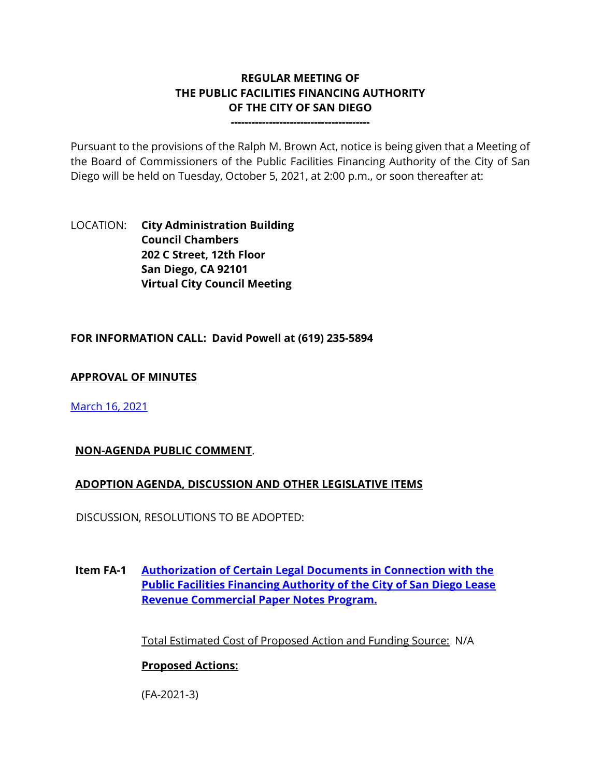# **REGULAR MEETING OF THE PUBLIC FACILITIES FINANCING AUTHORITY OF THE CITY OF SAN DIEGO**

**----------------------------------------**

Pursuant to the provisions of the Ralph M. Brown Act, notice is being given that a Meeting of the Board of Commissioners of the Public Facilities Financing Authority of the City of San Diego will be held on Tuesday, October 5, 2021, at 2:00 p.m., or soon thereafter at:

LOCATION: **City Administration Building Council Chambers 202 C Street, 12th Floor San Diego, CA 92101 Virtual City Council Meeting**

### **FOR INFORMATION CALL: David Powell at (619) 235-5894**

#### **APPROVAL OF MINUTES**

[March 16, 2021](https://www.sandiego.gov/sites/default/files/0316pffa.pdf) 

#### **NON-AGENDA PUBLIC COMMENT**.

#### **ADOPTION AGENDA, DISCUSSION AND OTHER LEGISLATIVE ITEMS**

DISCUSSION, RESOLUTIONS TO BE ADOPTED:

**Item FA-1 [Authorization of Certain Legal Documents in Connection with the](https://www.sandiego.gov/sites/default/files/pffa_attachments_10-5-21.pdf)  [Public Facilities Financing Authority of the City of San Diego Lease](https://www.sandiego.gov/sites/default/files/pffa_attachments_10-5-21.pdf)  [Revenue Commercial Paper Notes Program.](https://www.sandiego.gov/sites/default/files/pffa_attachments_10-5-21.pdf)**

Total Estimated Cost of Proposed Action and Funding Source: N/A

#### **Proposed Actions:**

(FA-2021-3)